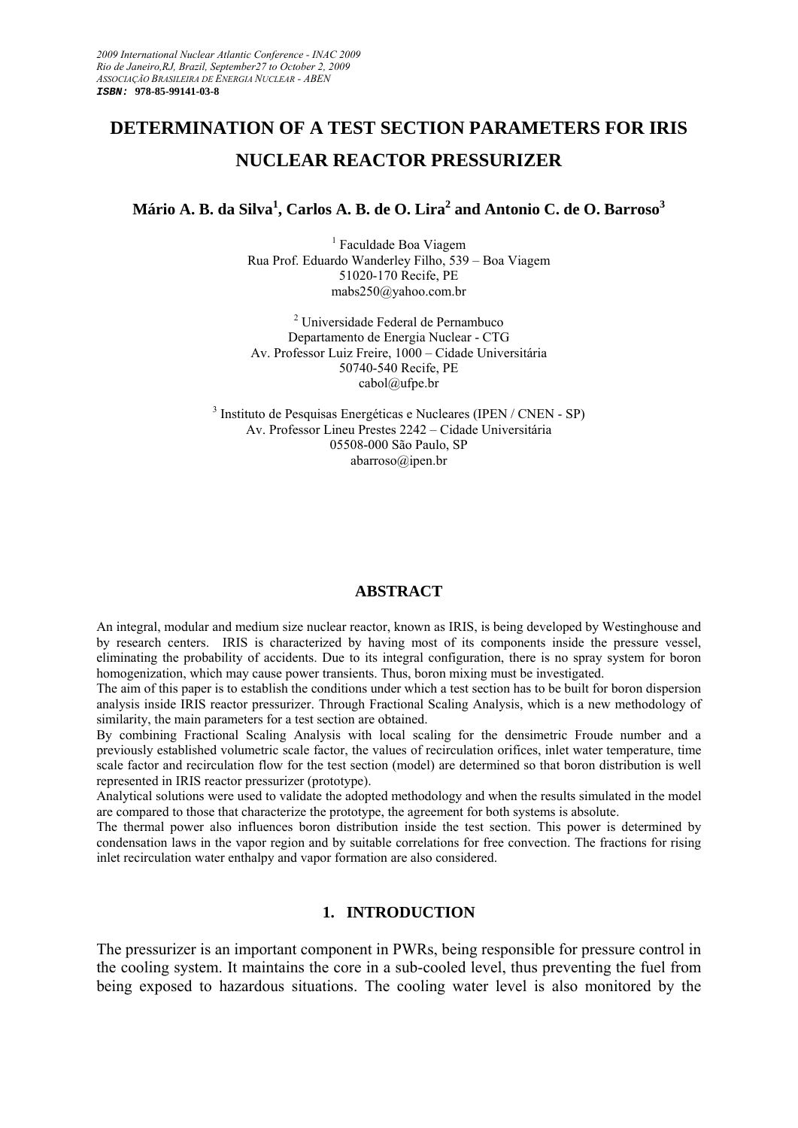# **DETERMINATION OF A TEST SECTION PARAMETERS FOR IRIS NUCLEAR REACTOR PRESSURIZER**

# **Mário A. B. da Silva<sup>1</sup> , Carlos A. B. de O. Lira2 and Antonio C. de O. Barroso<sup>3</sup>**

<sup>1</sup> Faculdade Boa Viagem Rua Prof. Eduardo Wanderley Filho, 539 – Boa Viagem 51020-170 Recife, PE mabs250@yahoo.com.br

2 Universidade Federal de Pernambuco Departamento de Energia Nuclear - CTG Av. Professor Luiz Freire, 1000 – Cidade Universitária 50740-540 Recife, PE cabol@ufpe.br

3 Instituto de Pesquisas Energéticas e Nucleares (IPEN / CNEN - SP) Av. Professor Lineu Prestes 2242 – Cidade Universitária 05508-000 São Paulo, SP abarroso@ipen.br

# **ABSTRACT**

An integral, modular and medium size nuclear reactor, known as IRIS, is being developed by Westinghouse and by research centers. IRIS is characterized by having most of its components inside the pressure vessel, eliminating the probability of accidents. Due to its integral configuration, there is no spray system for boron homogenization, which may cause power transients. Thus, boron mixing must be investigated.

The aim of this paper is to establish the conditions under which a test section has to be built for boron dispersion analysis inside IRIS reactor pressurizer. Through Fractional Scaling Analysis, which is a new methodology of similarity, the main parameters for a test section are obtained.

By combining Fractional Scaling Analysis with local scaling for the densimetric Froude number and a previously established volumetric scale factor, the values of recirculation orifices, inlet water temperature, time scale factor and recirculation flow for the test section (model) are determined so that boron distribution is well represented in IRIS reactor pressurizer (prototype).

Analytical solutions were used to validate the adopted methodology and when the results simulated in the model are compared to those that characterize the prototype, the agreement for both systems is absolute.

The thermal power also influences boron distribution inside the test section. This power is determined by condensation laws in the vapor region and by suitable correlations for free convection. The fractions for rising inlet recirculation water enthalpy and vapor formation are also considered.

# **1. INTRODUCTION**

The pressurizer is an important component in PWRs, being responsible for pressure control in the cooling system. It maintains the core in a sub-cooled level, thus preventing the fuel from being exposed to hazardous situations. The cooling water level is also monitored by the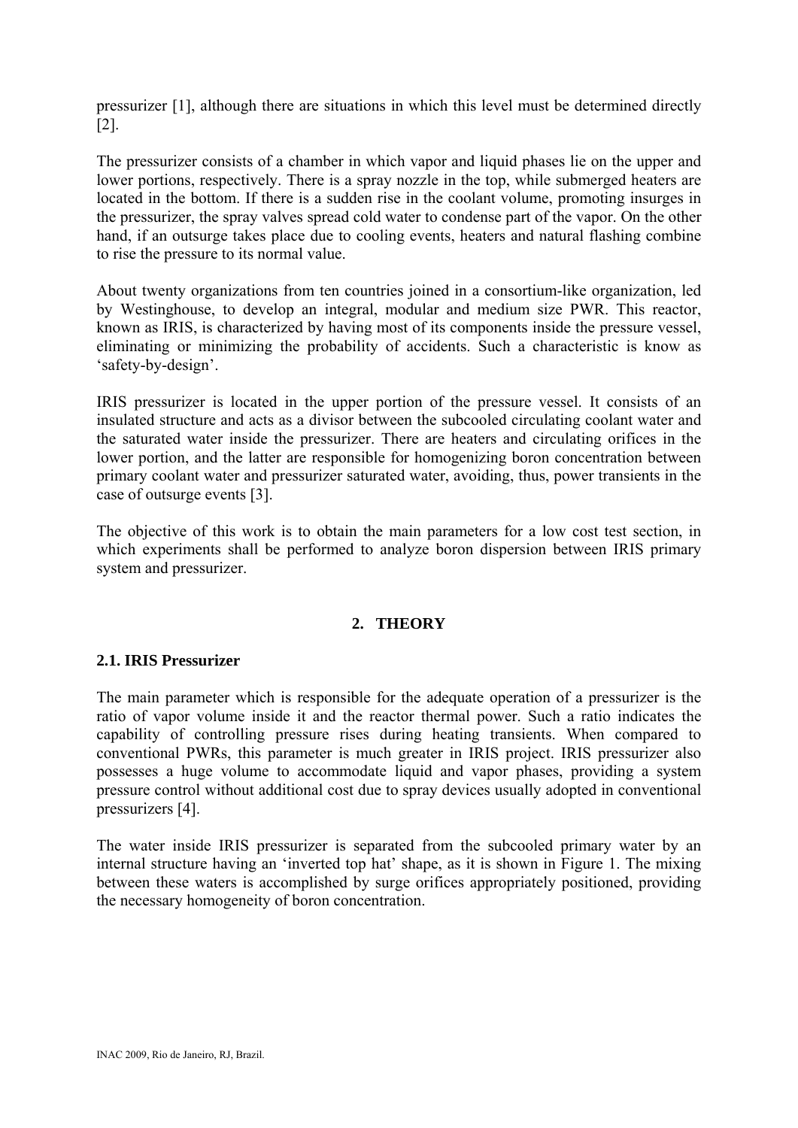pressurizer [1], although there are situations in which this level must be determined directly [2].

The pressurizer consists of a chamber in which vapor and liquid phases lie on the upper and lower portions, respectively. There is a spray nozzle in the top, while submerged heaters are located in the bottom. If there is a sudden rise in the coolant volume, promoting insurges in the pressurizer, the spray valves spread cold water to condense part of the vapor. On the other hand, if an outsurge takes place due to cooling events, heaters and natural flashing combine to rise the pressure to its normal value.

About twenty organizations from ten countries joined in a consortium-like organization, led by Westinghouse, to develop an integral, modular and medium size PWR. This reactor, known as IRIS, is characterized by having most of its components inside the pressure vessel, eliminating or minimizing the probability of accidents. Such a characteristic is know as 'safety-by-design'.

IRIS pressurizer is located in the upper portion of the pressure vessel. It consists of an insulated structure and acts as a divisor between the subcooled circulating coolant water and the saturated water inside the pressurizer. There are heaters and circulating orifices in the lower portion, and the latter are responsible for homogenizing boron concentration between primary coolant water and pressurizer saturated water, avoiding, thus, power transients in the case of outsurge events [3].

The objective of this work is to obtain the main parameters for a low cost test section, in which experiments shall be performed to analyze boron dispersion between IRIS primary system and pressurizer.

# **2. THEORY**

# **2.1. IRIS Pressurizer**

The main parameter which is responsible for the adequate operation of a pressurizer is the ratio of vapor volume inside it and the reactor thermal power. Such a ratio indicates the capability of controlling pressure rises during heating transients. When compared to conventional PWRs, this parameter is much greater in IRIS project. IRIS pressurizer also possesses a huge volume to accommodate liquid and vapor phases, providing a system pressure control without additional cost due to spray devices usually adopted in conventional pressurizers [4].

The water inside IRIS pressurizer is separated from the subcooled primary water by an internal structure having an 'inverted top hat' shape, as it is shown in Figure 1. The mixing between these waters is accomplished by surge orifices appropriately positioned, providing the necessary homogeneity of boron concentration.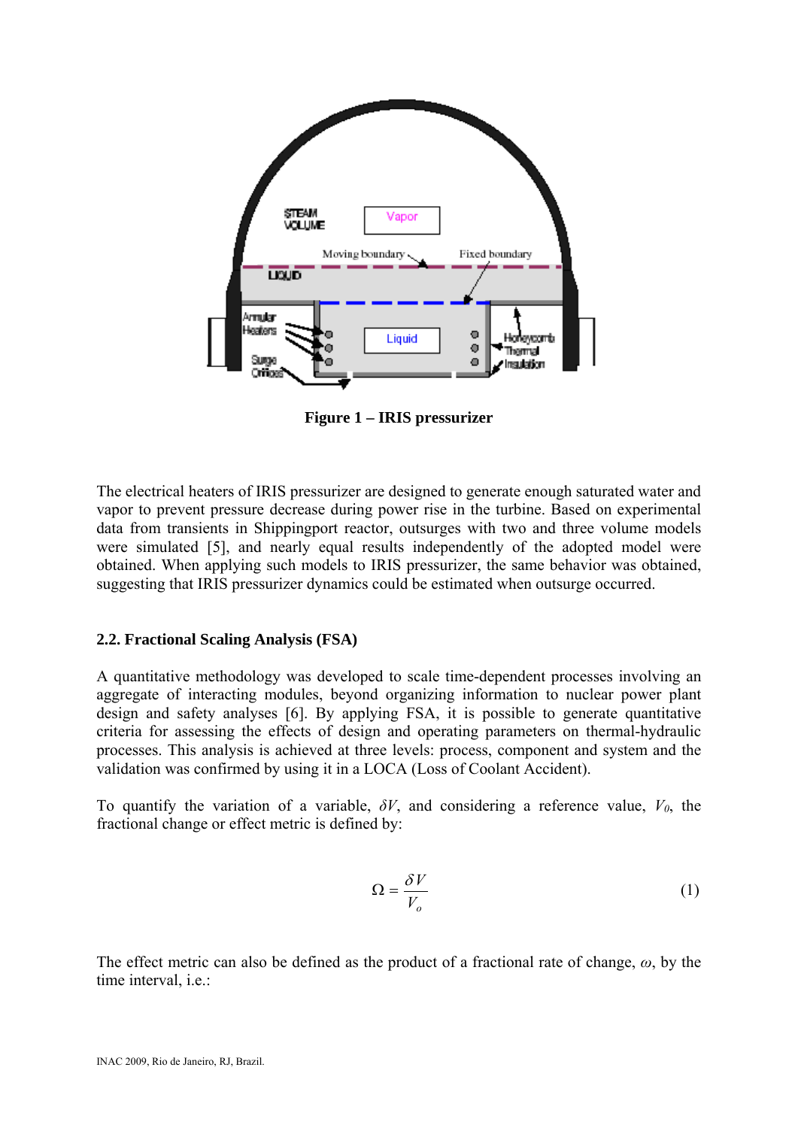

**Figure 1 – IRIS pressurizer** 

The electrical heaters of IRIS pressurizer are designed to generate enough saturated water and vapor to prevent pressure decrease during power rise in the turbine. Based on experimental data from transients in Shippingport reactor, outsurges with two and three volume models were simulated [5], and nearly equal results independently of the adopted model were obtained. When applying such models to IRIS pressurizer, the same behavior was obtained, suggesting that IRIS pressurizer dynamics could be estimated when outsurge occurred.

# **2.2. Fractional Scaling Analysis (FSA)**

A quantitative methodology was developed to scale time-dependent processes involving an aggregate of interacting modules, beyond organizing information to nuclear power plant design and safety analyses [6]. By applying FSA, it is possible to generate quantitative criteria for assessing the effects of design and operating parameters on thermal-hydraulic processes. This analysis is achieved at three levels: process, component and system and the validation was confirmed by using it in a LOCA (Loss of Coolant Accident).

To quantify the variation of a variable,  $\delta V$ , and considering a reference value,  $V_0$ , the fractional change or effect metric is defined by:

$$
\Omega = \frac{\delta V}{V_o} \tag{1}
$$

The effect metric can also be defined as the product of a fractional rate of change, *ω*, by the time interval, i.e.: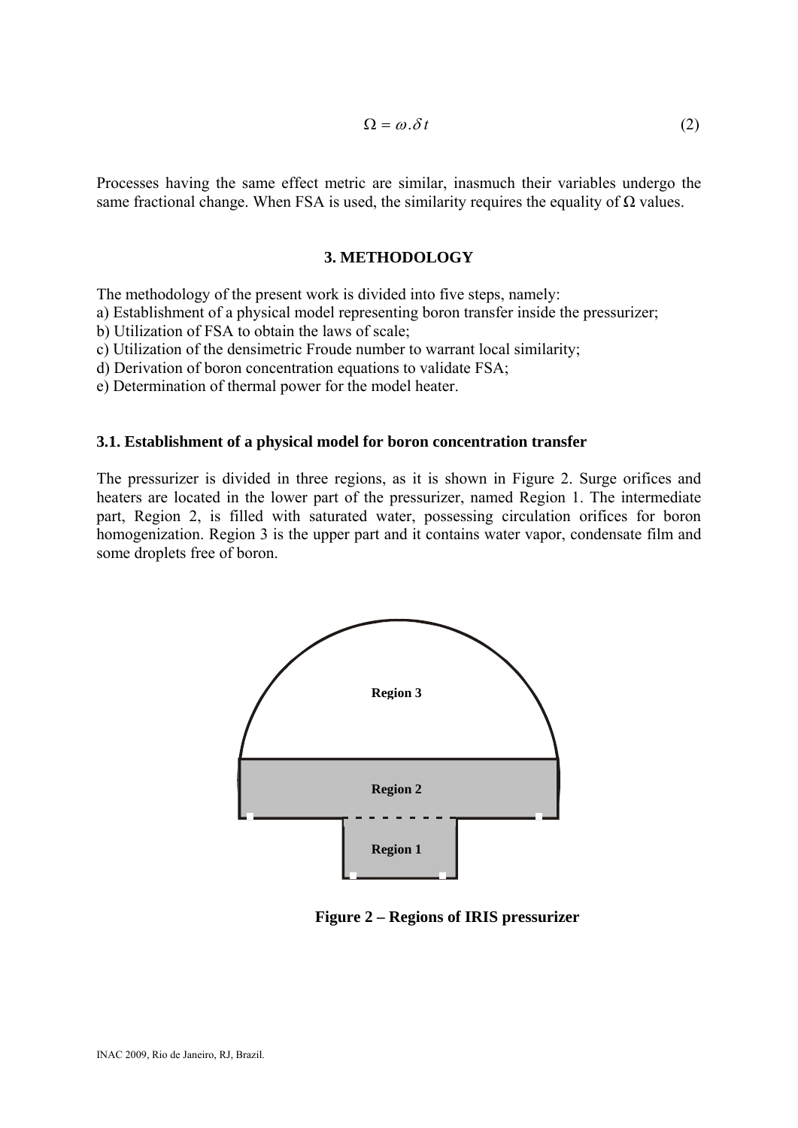$$
\Omega = \omega \, \delta \, t \tag{2}
$$

Processes having the same effect metric are similar, inasmuch their variables undergo the same fractional change. When FSA is used, the similarity requires the equality of  $\Omega$  values.

### **3. METHODOLOGY**

The methodology of the present work is divided into five steps, namely:

a) Establishment of a physical model representing boron transfer inside the pressurizer;

b) Utilization of FSA to obtain the laws of scale;

c) Utilization of the densimetric Froude number to warrant local similarity;

d) Derivation of boron concentration equations to validate FSA;

e) Determination of thermal power for the model heater.

#### **3.1. Establishment of a physical model for boron concentration transfer**

The pressurizer is divided in three regions, as it is shown in Figure 2. Surge orifices and heaters are located in the lower part of the pressurizer, named Region 1. The intermediate part, Region 2, is filled with saturated water, possessing circulation orifices for boron homogenization. Region 3 is the upper part and it contains water vapor, condensate film and some droplets free of boron.



**Figure 2 – Regions of IRIS pressurizer**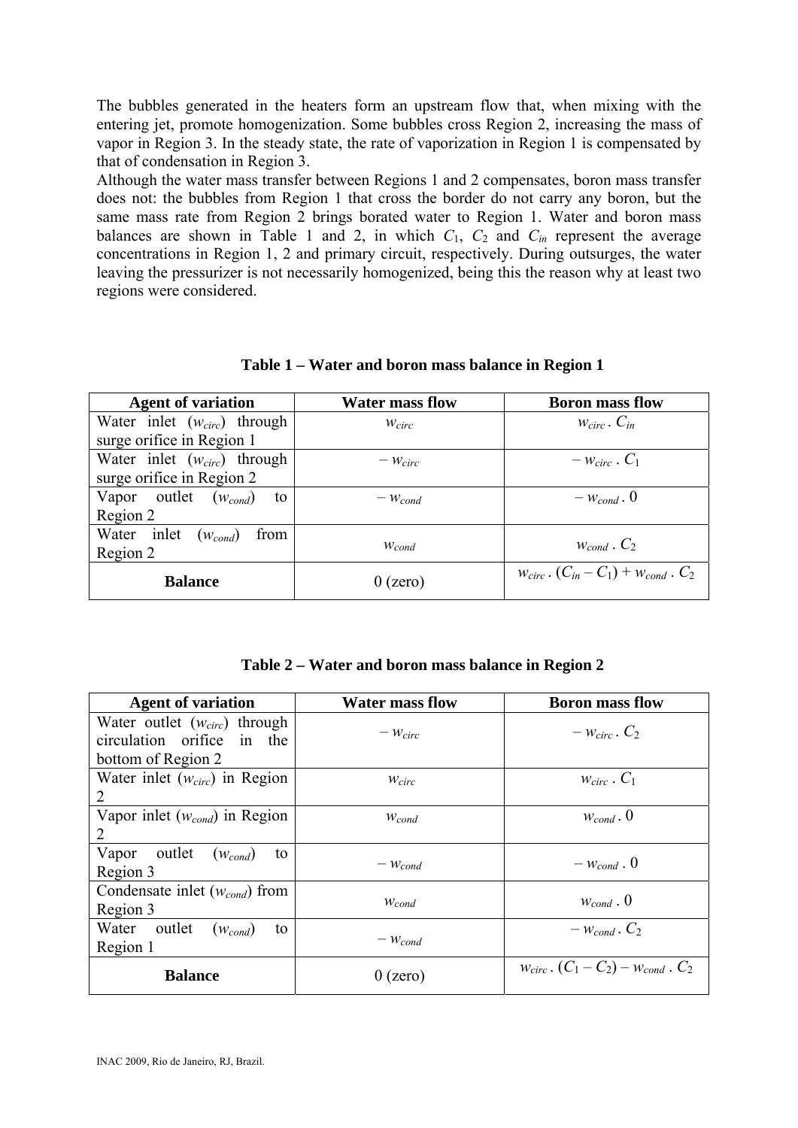The bubbles generated in the heaters form an upstream flow that, when mixing with the entering jet, promote homogenization. Some bubbles cross Region 2, increasing the mass of vapor in Region 3. In the steady state, the rate of vaporization in Region 1 is compensated by that of condensation in Region 3.

Although the water mass transfer between Regions 1 and 2 compensates, boron mass transfer does not: the bubbles from Region 1 that cross the border do not carry any boron, but the same mass rate from Region 2 brings borated water to Region 1. Water and boron mass balances are shown in Table 1 and 2, in which  $C_1$ ,  $C_2$  and  $C_{in}$  represent the average concentrations in Region 1, 2 and primary circuit, respectively. During outsurges, the water leaving the pressurizer is not necessarily homogenized, being this the reason why at least two regions were considered.

| <b>Agent of variation</b>        | <b>Water mass flow</b> | <b>Boron mass flow</b>                           |
|----------------------------------|------------------------|--------------------------------------------------|
| Water inlet $(w_{circ})$ through | $W_{circ}$             | $W_{circ}$ . $C_{in}$                            |
| surge orifice in Region 1        |                        |                                                  |
| Water inlet $(w_{circ})$ through | $ W_{circ}$            | $-w_{circ}$ . $C_1$                              |
| surge orifice in Region 2        |                        |                                                  |
| Vapor outlet $(w_{cond})$<br>to  | $-W_{cond}$            | $ W_{cond}$ . 0                                  |
| Region 2                         |                        |                                                  |
| Water inlet $(w_{cond})$<br>from |                        | $W_{cond}$ . $C_2$                               |
| Region 2                         | $W_{cond}$             |                                                  |
| <b>Balance</b>                   | $0$ (zero)             | $W_{circ}$ . $(C_{in} - C_1) + W_{cond}$ . $C_2$ |

**Table 1 – Water and boron mass balance in Region 1** 

|  |  |  |  |  |  |  | Table 2 – Water and boron mass balance in Region 2 |  |
|--|--|--|--|--|--|--|----------------------------------------------------|--|
|--|--|--|--|--|--|--|----------------------------------------------------|--|

| <b>Agent of variation</b>             | <b>Water mass flow</b> | <b>Boron mass flow</b>                        |
|---------------------------------------|------------------------|-----------------------------------------------|
| Water outlet $(w_{circ})$ through     |                        | $ W_{circ}$ . $C_2$                           |
| circulation orifice in<br>the         | $ W_{circ}$            |                                               |
| bottom of Region 2                    |                        |                                               |
| Water inlet $(w_{circ})$ in Region    | $W_{circ}$             | $W_{circ}$ . $C_1$                            |
| 2                                     |                        |                                               |
| Vapor inlet $(w_{cond})$ in Region    | $W_{cond}$             | $W_{cond}$ . 0                                |
|                                       |                        |                                               |
| Vapor outlet<br>$(w_{cond})$<br>to    |                        | $-w_{cond}$ . 0                               |
| Region 3                              | $-W_{cond}$            |                                               |
| Condensate inlet $(w_{cond})$ from    |                        | $W_{cond}$ . 0                                |
| Region 3                              | $W_{cond}$             |                                               |
| Water<br>outlet<br>$(w_{cond})$<br>to |                        | $ W_{cond}$ . $C_2$                           |
| Region 1                              | $-W_{cond}$            |                                               |
| <b>Balance</b>                        | $0$ (zero)             | $W_{circ}$ . $(C_1 - C_2) - W_{cond}$ . $C_2$ |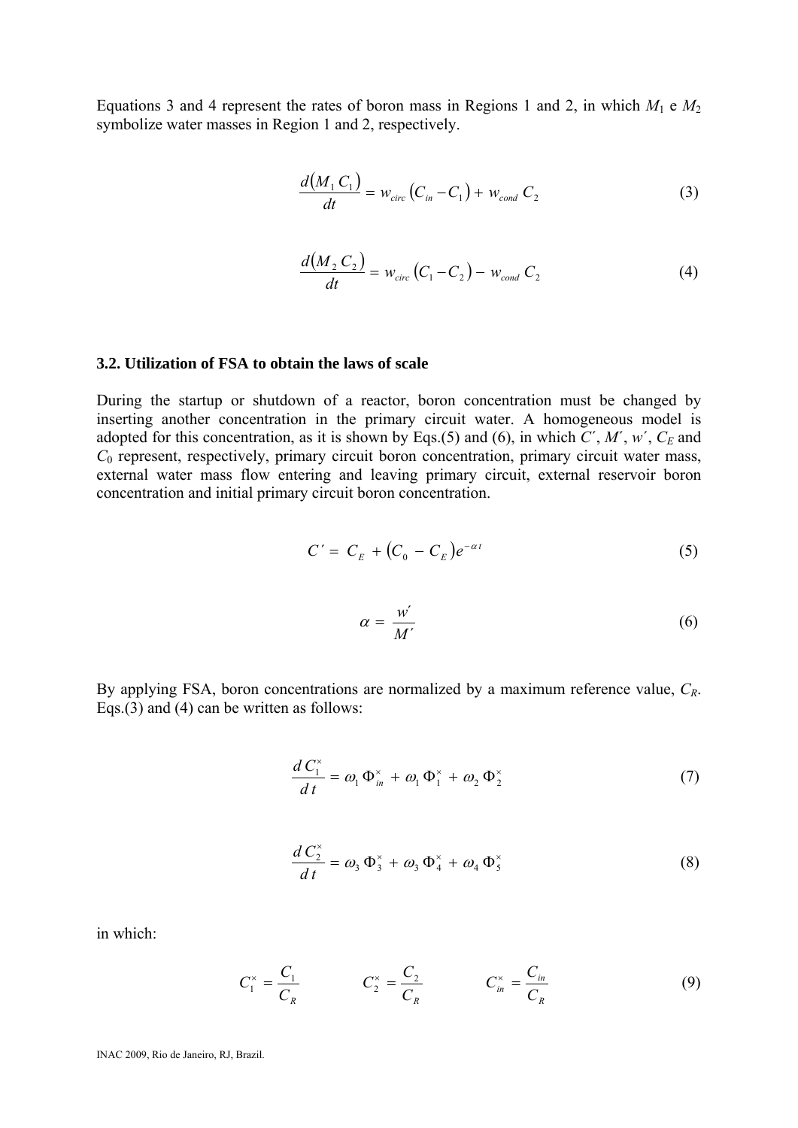Equations 3 and 4 represent the rates of boron mass in Regions 1 and 2, in which  $M_1 \text{ e } M_2$ symbolize water masses in Region 1 and 2, respectively.

$$
\frac{d(M_1 C_1)}{dt} = w_{circ} (C_{in} - C_1) + w_{cond} C_2
$$
 (3)

$$
\frac{d(M_2 C_2)}{dt} = w_{circ} (C_1 - C_2) - w_{cond} C_2
$$
 (4)

#### **3.2. Utilization of FSA to obtain the laws of scale**

During the startup or shutdown of a reactor, boron concentration must be changed by inserting another concentration in the primary circuit water. A homogeneous model is adopted for this concentration, as it is shown by Eqs.(5) and (6), in which  $C'$ ,  $M'$ ,  $w'$ ,  $C_E$  and *C*<sub>0</sub> represent, respectively, primary circuit boron concentration, primary circuit water mass, external water mass flow entering and leaving primary circuit, external reservoir boron concentration and initial primary circuit boron concentration.

$$
C' = C_E + (C_0 - C_E)e^{-\alpha t}
$$
\n
$$
\tag{5}
$$

$$
\alpha = \frac{w'}{M'}\tag{6}
$$

By applying FSA, boron concentrations are normalized by a maximum reference value, *CR*. Eqs.(3) and (4) can be written as follows:

$$
\frac{d C_1^*}{dt} = \omega_1 \Phi_{in}^* + \omega_1 \Phi_1^* + \omega_2 \Phi_2^* \tag{7}
$$

$$
\frac{d C_2^*}{dt} = \omega_3 \Phi_3^* + \omega_3 \Phi_4^* + \omega_4 \Phi_5^* \tag{8}
$$

in which:

$$
C_1^* = \frac{C_1}{C_R} \qquad \qquad C_2^* = \frac{C_2}{C_R} \qquad \qquad C_{in}^* = \frac{C_{in}}{C_R} \tag{9}
$$

INAC 2009, Rio de Janeiro, RJ, Brazil.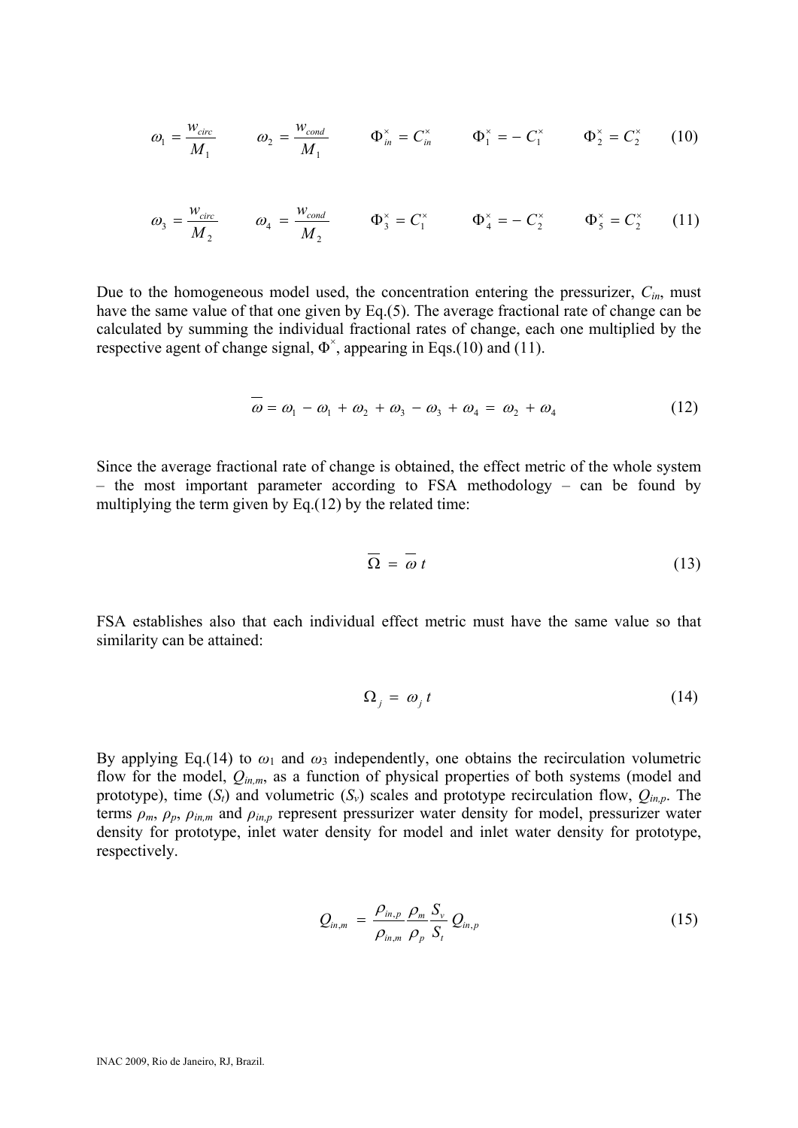$$
\omega_1 = \frac{w_{circ}}{M_1} \qquad \omega_2 = \frac{w_{cond}}{M_1} \qquad \Phi_{in}^{\times} = C_{in}^{\times} \qquad \Phi_1^{\times} = -C_1^{\times} \qquad \Phi_2^{\times} = C_2^{\times} \qquad (10)
$$

$$
\omega_3 = \frac{w_{circ}}{M_2} \qquad \omega_4 = \frac{w_{cond}}{M_2} \qquad \Phi_3^{\times} = C_1^{\times} \qquad \Phi_4^{\times} = -C_2^{\times} \qquad \Phi_5^{\times} = C_2^{\times} \qquad (11)
$$

Due to the homogeneous model used, the concentration entering the pressurizer, *Cin*, must have the same value of that one given by Eq.(5). The average fractional rate of change can be calculated by summing the individual fractional rates of change, each one multiplied by the respective agent of change signal,  $\Phi^{\times}$ , appearing in Eqs.(10) and (11).

$$
\omega = \omega_1 - \omega_1 + \omega_2 + \omega_3 - \omega_3 + \omega_4 = \omega_2 + \omega_4 \tag{12}
$$

Since the average fractional rate of change is obtained, the effect metric of the whole system – the most important parameter according to FSA methodology – can be found by multiplying the term given by Eq.(12) by the related time:

$$
\overline{\Omega} = \overline{\omega} t \tag{13}
$$

FSA establishes also that each individual effect metric must have the same value so that similarity can be attained:

$$
\Omega_j = \omega_j t \tag{14}
$$

By applying Eq.(14) to  $\omega_1$  and  $\omega_3$  independently, one obtains the recirculation volumetric flow for the model,  $Q_{in,m}$ , as a function of physical properties of both systems (model and prototype), time  $(S_t)$  and volumetric  $(S_v)$  scales and prototype recirculation flow,  $Q_{in,p}$ . The terms  $\rho_m$ ,  $\rho_p$ ,  $\rho_{in,m}$  and  $\rho_{in,p}$  represent pressurizer water density for model, pressurizer water density for prototype, inlet water density for model and inlet water density for prototype, respectively.

$$
Q_{in,m} = \frac{\rho_{in,p}}{\rho_{in,m}} \frac{\rho_m}{\rho_p} \frac{S_v}{S_t} Q_{in,p}
$$
(15)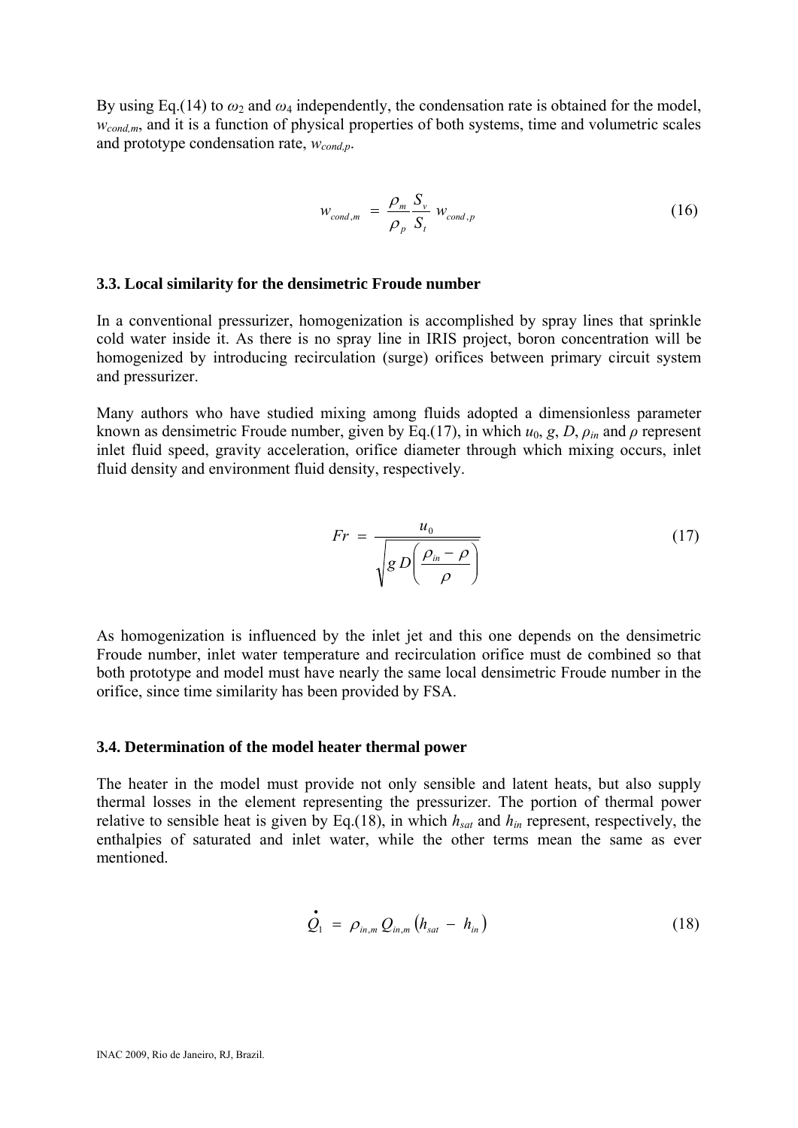By using Eq.(14) to  $\omega_2$  and  $\omega_4$  independently, the condensation rate is obtained for the model, *w<sub>cond,m</sub>*, and it is a function of physical properties of both systems, time and volumetric scales and prototype condensation rate, *wcond,p*.

$$
W_{cond,m} = \frac{\rho_m}{\rho_p} \frac{S_v}{S_t} W_{cond,p}
$$
 (16)

#### **3.3. Local similarity for the densimetric Froude number**

In a conventional pressurizer, homogenization is accomplished by spray lines that sprinkle cold water inside it. As there is no spray line in IRIS project, boron concentration will be homogenized by introducing recirculation (surge) orifices between primary circuit system and pressurizer.

Many authors who have studied mixing among fluids adopted a dimensionless parameter known as densimetric Froude number, given by Eq.(17), in which  $u_0, g, D, \rho$ <sub>*in*</sub> and  $\rho$  represent inlet fluid speed, gravity acceleration, orifice diameter through which mixing occurs, inlet fluid density and environment fluid density, respectively.

$$
Fr = \frac{u_0}{\sqrt{g D\left(\frac{\rho_{in} - \rho}{\rho}\right)}}\tag{17}
$$

As homogenization is influenced by the inlet jet and this one depends on the densimetric Froude number, inlet water temperature and recirculation orifice must de combined so that both prototype and model must have nearly the same local densimetric Froude number in the orifice, since time similarity has been provided by FSA.

#### **3.4. Determination of the model heater thermal power**

The heater in the model must provide not only sensible and latent heats, but also supply thermal losses in the element representing the pressurizer. The portion of thermal power relative to sensible heat is given by Eq.(18), in which  $h_{sat}$  and  $h_{in}$  represent, respectively, the enthalpies of saturated and inlet water, while the other terms mean the same as ever mentioned.

$$
\dot{Q}_1 = \rho_{in,m} Q_{in,m} (h_{sat} - h_{in})
$$
\n(18)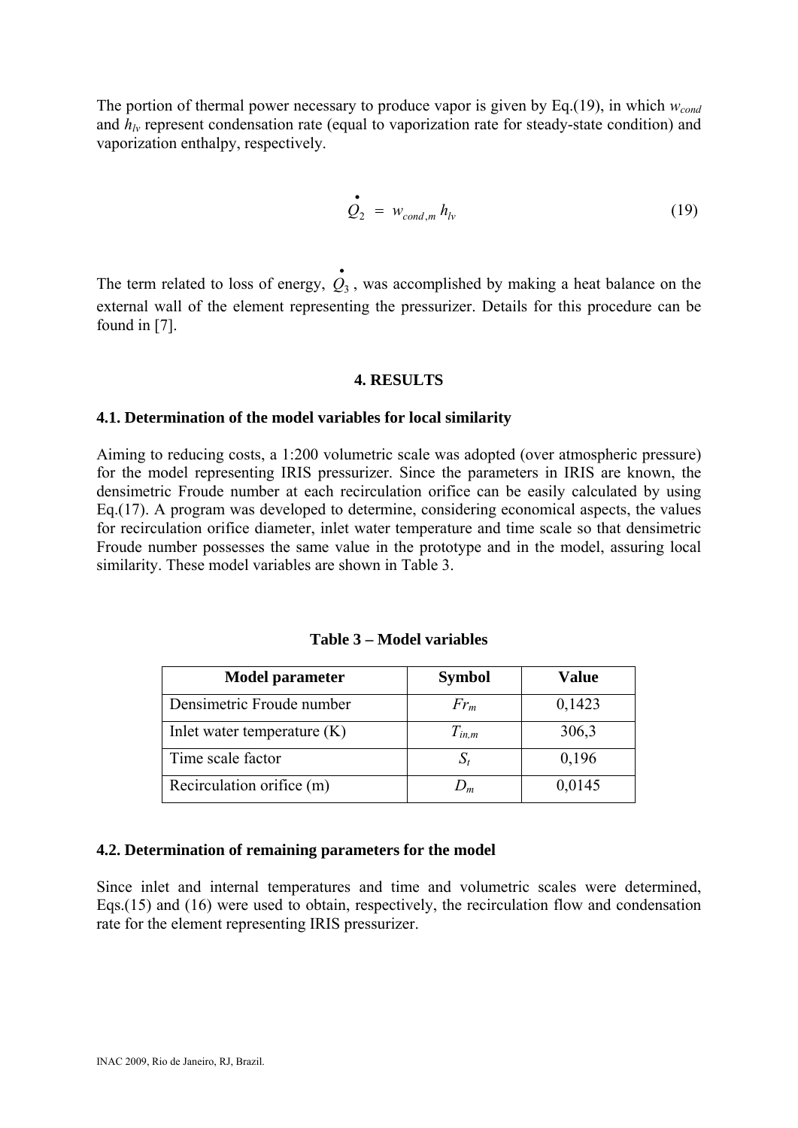The portion of thermal power necessary to produce vapor is given by Eq.(19), in which  $w_{cond}$ and  $h_{lv}$  represent condensation rate (equal to vaporization rate for steady-state condition) and vaporization enthalpy, respectively.

$$
\dot{Q}_2 = w_{cond,m} h_{lv} \tag{19}
$$

The term related to loss of energy,  $Q_3$ , was accomplished by making a heat balance on the external wall of the element representing the pressurizer. Details for this procedure can be found in [7]. • *Q*3

# **4. RESULTS**

#### **4.1. Determination of the model variables for local similarity**

Aiming to reducing costs, a 1:200 volumetric scale was adopted (over atmospheric pressure) for the model representing IRIS pressurizer. Since the parameters in IRIS are known, the densimetric Froude number at each recirculation orifice can be easily calculated by using Eq.(17). A program was developed to determine, considering economical aspects, the values for recirculation orifice diameter, inlet water temperature and time scale so that densimetric Froude number possesses the same value in the prototype and in the model, assuring local similarity. These model variables are shown in Table 3.

| <b>Model parameter</b>         | <b>Symbol</b> | Value  |
|--------------------------------|---------------|--------|
| Densimetric Froude number      | $Fr_m$        | 0,1423 |
| In let water temperature $(K)$ | $T_{in,m}$    | 306,3  |
| Time scale factor              |               | 0,196  |
| Recirculation orifice (m)      | $J_m$         | 0,0145 |

**Table 3 – Model variables** 

# **4.2. Determination of remaining parameters for the model**

Since inlet and internal temperatures and time and volumetric scales were determined, Eqs.(15) and (16) were used to obtain, respectively, the recirculation flow and condensation rate for the element representing IRIS pressurizer.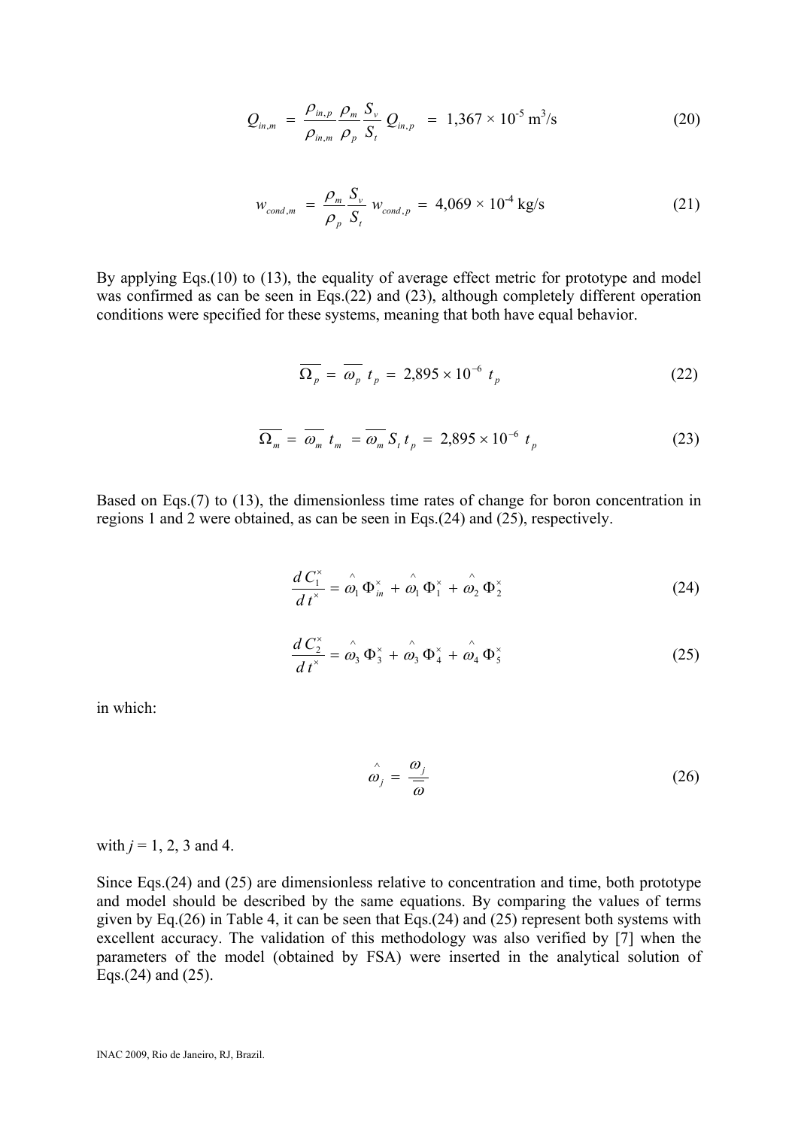$$
Q_{in,m} = \frac{\rho_{in,p}}{\rho_{in,m}} \frac{\rho_m}{\rho_p} \frac{S_v}{S_t} Q_{in,p} = 1,367 \times 10^{-5} \text{ m}^3/\text{s}
$$
 (20)

$$
w_{cond,m} = \frac{\rho_m}{\rho_p} \frac{S_v}{S_t} w_{cond,p} = 4,069 \times 10^{-4} \text{ kg/s}
$$
 (21)

By applying Eqs.(10) to (13), the equality of average effect metric for prototype and model was confirmed as can be seen in Eqs.(22) and (23), although completely different operation conditions were specified for these systems, meaning that both have equal behavior.

$$
\overline{\Omega_p} = \overline{\omega_p} \ t_p = 2{,}895 \times 10^{-6} \ t_p \tag{22}
$$

$$
\overline{\Omega_m} = \overline{\omega_m} \ t_m = \overline{\omega_m} \ S_t \ t_p = 2{,}895 \times 10^{-6} \ t_p \tag{23}
$$

Based on Eqs.(7) to (13), the dimensionless time rates of change for boron concentration in regions 1 and 2 were obtained, as can be seen in Eqs.(24) and (25), respectively.

$$
\frac{d C_1^*}{dt^*} = \hat{\omega}_1 \Phi_{in}^* + \hat{\omega}_1 \Phi_1^* + \hat{\omega}_2 \Phi_2^*
$$
(24)

$$
\frac{d C_2^*}{dt^*} = \hat{\omega}_3 \Phi_3^* + \hat{\omega}_3 \Phi_4^* + \hat{\omega}_4 \Phi_5^* \tag{25}
$$

in which:

$$
\hat{\omega}_j = \frac{\omega_j}{\overline{\omega}} \tag{26}
$$

with  $j = 1, 2, 3$  and 4.

Since Eqs.(24) and (25) are dimensionless relative to concentration and time, both prototype and model should be described by the same equations. By comparing the values of terms given by Eq.(26) in Table 4, it can be seen that Eqs.(24) and (25) represent both systems with excellent accuracy. The validation of this methodology was also verified by [7] when the parameters of the model (obtained by FSA) were inserted in the analytical solution of Eqs.(24) and (25).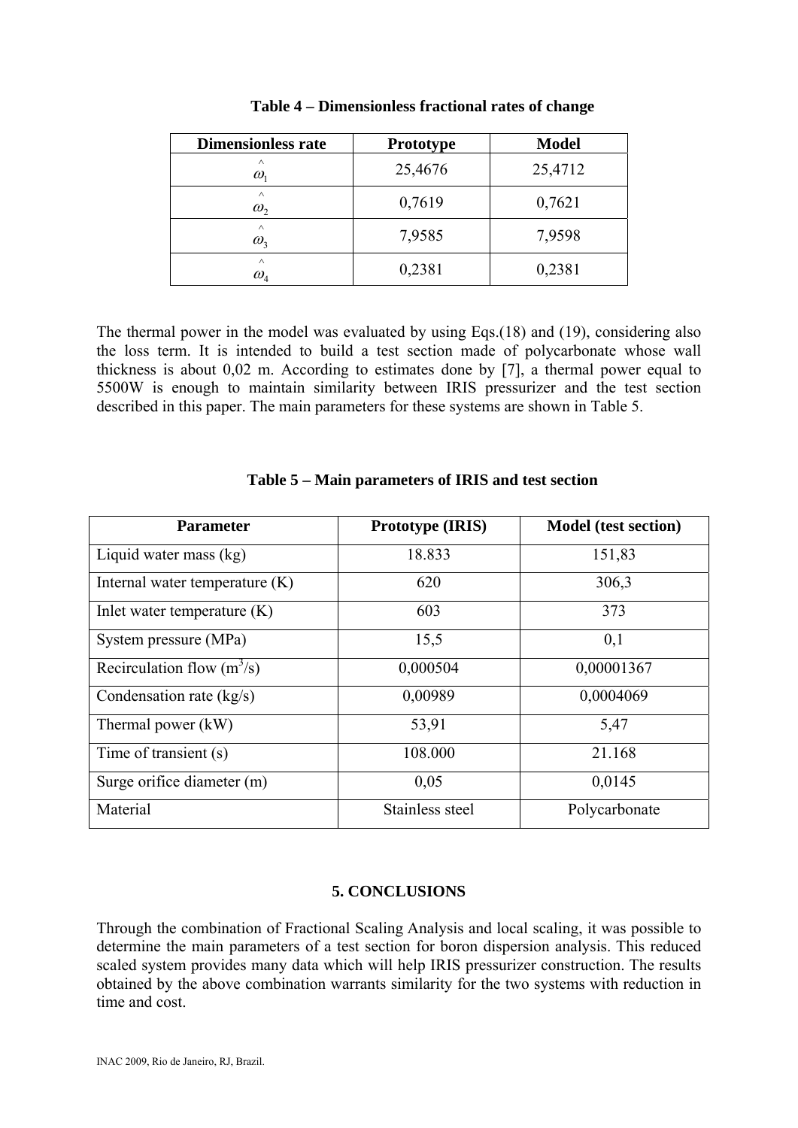| <b>Dimensionless rate</b>                   | <b>Prototype</b> | <b>Model</b> |
|---------------------------------------------|------------------|--------------|
| $\wedge$<br>$\omega_{1}$                    | 25,4676          | 25,4712      |
| $\wedge$<br>$\omega_{2}$                    | 0,7619           | 0,7621       |
| $\wedge$<br>$\omega_{\rm s}$                | 7,9585           | 7,9598       |
| $\wedge$<br>$\omega_{\scriptscriptstyle 4}$ | 0,2381           | 0,2381       |

#### **Table 4 – Dimensionless fractional rates of change**

The thermal power in the model was evaluated by using Eqs.(18) and (19), considering also the loss term. It is intended to build a test section made of polycarbonate whose wall thickness is about 0,02 m. According to estimates done by [7], a thermal power equal to 5500W is enough to maintain similarity between IRIS pressurizer and the test section described in this paper. The main parameters for these systems are shown in Table 5.

| <b>Parameter</b>                 | <b>Prototype (IRIS)</b> | <b>Model</b> (test section) |
|----------------------------------|-------------------------|-----------------------------|
| Liquid water mass (kg)           | 18.833                  | 151,83                      |
| Internal water temperature $(K)$ | 620                     | 306,3                       |
| Inlet water temperature $(K)$    | 603                     | 373                         |
| System pressure (MPa)            | 15,5                    | 0,1                         |
| Recirculation flow $(m^3/s)$     | 0,000504                | 0,00001367                  |
| Condensation rate (kg/s)         | 0,00989                 | 0,0004069                   |
| Thermal power (kW)               | 53,91                   | 5,47                        |
| Time of transient (s)            | 108.000                 | 21.168                      |
| Surge orifice diameter (m)       | 0,05                    | 0,0145                      |
| Material                         | Stainless steel         | Polycarbonate               |

# **Table 5 – Main parameters of IRIS and test section**

# **5. CONCLUSIONS**

Through the combination of Fractional Scaling Analysis and local scaling, it was possible to determine the main parameters of a test section for boron dispersion analysis. This reduced scaled system provides many data which will help IRIS pressurizer construction. The results obtained by the above combination warrants similarity for the two systems with reduction in time and cost.